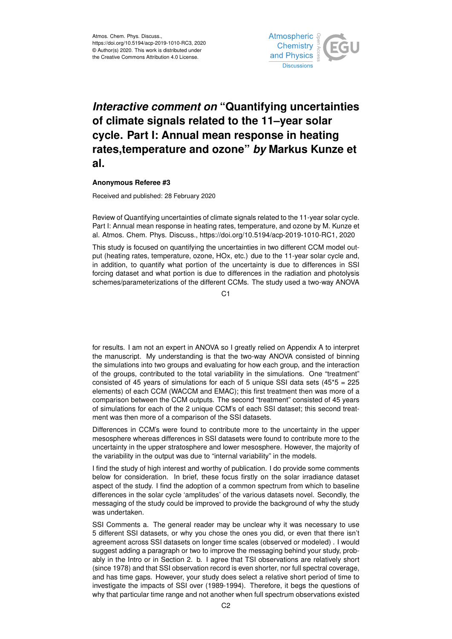

## *Interactive comment on* **"Quantifying uncertainties of climate signals related to the 11–year solar cycle. Part I: Annual mean response in heating rates,temperature and ozone"** *by* **Markus Kunze et al.**

## **Anonymous Referee #3**

Received and published: 28 February 2020

Review of Quantifying uncertainties of climate signals related to the 11-year solar cycle. Part I: Annual mean response in heating rates, temperature, and ozone by M. Kunze et al. Atmos. Chem. Phys. Discuss., https://doi.org/10.5194/acp-2019-1010-RC1, 2020

This study is focused on quantifying the uncertainties in two different CCM model output (heating rates, temperature, ozone, HOx, etc.) due to the 11-year solar cycle and, in addition, to quantify what portion of the uncertainty is due to differences in SSI forcing dataset and what portion is due to differences in the radiation and photolysis schemes/parameterizations of the different CCMs. The study used a two-way ANOVA

C<sub>1</sub>

for results. I am not an expert in ANOVA so I greatly relied on Appendix A to interpret the manuscript. My understanding is that the two-way ANOVA consisted of binning the simulations into two groups and evaluating for how each group, and the interaction of the groups, contributed to the total variability in the simulations. One "treatment" consisted of 45 years of simulations for each of 5 unique SSI data sets  $(45<sup>*</sup>5 = 225$ elements) of each CCM (WACCM and EMAC); this first treatment then was more of a comparison between the CCM outputs. The second "treatment" consisted of 45 years of simulations for each of the 2 unique CCM's of each SSI dataset; this second treatment was then more of a comparison of the SSI datasets.

Differences in CCM's were found to contribute more to the uncertainty in the upper mesosphere whereas differences in SSI datasets were found to contribute more to the uncertainty in the upper stratosphere and lower mesosphere. However, the majority of the variability in the output was due to "internal variability" in the models.

I find the study of high interest and worthy of publication. I do provide some comments below for consideration. In brief, these focus firstly on the solar irradiance dataset aspect of the study. I find the adoption of a common spectrum from which to baseline differences in the solar cycle 'amplitudes' of the various datasets novel. Secondly, the messaging of the study could be improved to provide the background of why the study was undertaken.

SSI Comments a. The general reader may be unclear why it was necessary to use 5 different SSI datasets, or why you chose the ones you did, or even that there isn't agreement across SSI datasets on longer time scales (observed or modeled) . I would suggest adding a paragraph or two to improve the messaging behind your study, probably in the Intro or in Section 2. b. I agree that TSI observations are relatively short (since 1978) and that SSI observation record is even shorter, nor full spectral coverage, and has time gaps. However, your study does select a relative short period of time to investigate the impacts of SSI over (1989-1994). Therefore, it begs the questions of why that particular time range and not another when full spectrum observations existed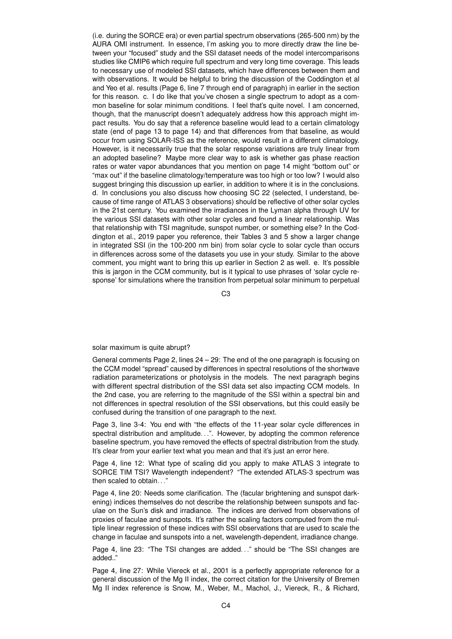(i.e. during the SORCE era) or even partial spectrum observations (265-500 nm) by the AURA OMI instrument. In essence, I'm asking you to more directly draw the line between your "focused" study and the SSI dataset needs of the model intercomparisons studies like CMIP6 which require full spectrum and very long time coverage. This leads to necessary use of modeled SSI datasets, which have differences between them and with observations. It would be helpful to bring the discussion of the Coddington et al and Yeo et al. results (Page 6, line 7 through end of paragraph) in earlier in the section for this reason. c. I do like that you've chosen a single spectrum to adopt as a common baseline for solar minimum conditions. I feel that's quite novel. I am concerned, though, that the manuscript doesn't adequately address how this approach might impact results. You do say that a reference baseline would lead to a certain climatology state (end of page 13 to page 14) and that differences from that baseline, as would occur from using SOLAR-ISS as the reference, would result in a different climatology. However, is it necessarily true that the solar response variations are truly linear from an adopted baseline? Maybe more clear way to ask is whether gas phase reaction rates or water vapor abundances that you mention on page 14 might "bottom out" or "max out" if the baseline climatology/temperature was too high or too low? I would also suggest bringing this discussion up earlier, in addition to where it is in the conclusions. d. In conclusions you also discuss how choosing SC 22 (selected, I understand, because of time range of ATLAS 3 observations) should be reflective of other solar cycles in the 21st century. You examined the irradiances in the Lyman alpha through UV for the various SSI datasets with other solar cycles and found a linear relationship. Was that relationship with TSI magnitude, sunspot number, or something else? In the Coddington et al., 2019 paper you reference, their Tables 3 and 5 show a larger change in integrated SSI (in the 100-200 nm bin) from solar cycle to solar cycle than occurs in differences across some of the datasets you use in your study. Similar to the above comment, you might want to bring this up earlier in Section 2 as well. e. It's possible this is jargon in the CCM community, but is it typical to use phrases of 'solar cycle response' for simulations where the transition from perpetual solar minimum to perpetual

C3

## solar maximum is quite abrupt?

General comments Page 2, lines 24 – 29: The end of the one paragraph is focusing on the CCM model "spread" caused by differences in spectral resolutions of the shortwave radiation parameterizations or photolysis in the models. The next paragraph begins with different spectral distribution of the SSI data set also impacting CCM models. In the 2nd case, you are referring to the magnitude of the SSI within a spectral bin and not differences in spectral resolution of the SSI observations, but this could easily be confused during the transition of one paragraph to the next.

Page 3, line 3-4: You end with "the effects of the 11-year solar cycle differences in spectral distribution and amplitude...". However, by adopting the common reference baseline spectrum, you have removed the effects of spectral distribution from the study. It's clear from your earlier text what you mean and that it's just an error here.

Page 4, line 12: What type of scaling did you apply to make ATLAS 3 integrate to SORCE TIM TSI? Wavelength independent? "The extended ATLAS-3 spectrum was then scaled to obtain. . ."

Page 4, line 20: Needs some clarification. The (facular brightening and sunspot darkening) indices themselves do not describe the relationship between sunspots and faculae on the Sun's disk and irradiance. The indices are derived from observations of proxies of faculae and sunspots. It's rather the scaling factors computed from the multiple linear regression of these indices with SSI observations that are used to scale the change in faculae and sunspots into a net, wavelength-dependent, irradiance change.

Page 4, line 23: "The TSI changes are added..." should be "The SSI changes are added.."

Page 4, line 27: While Viereck et al., 2001 is a perfectly appropriate reference for a general discussion of the Mg II index, the correct citation for the University of Bremen Mg II index reference is Snow, M., Weber, M., Machol, J., Viereck, R., & Richard,